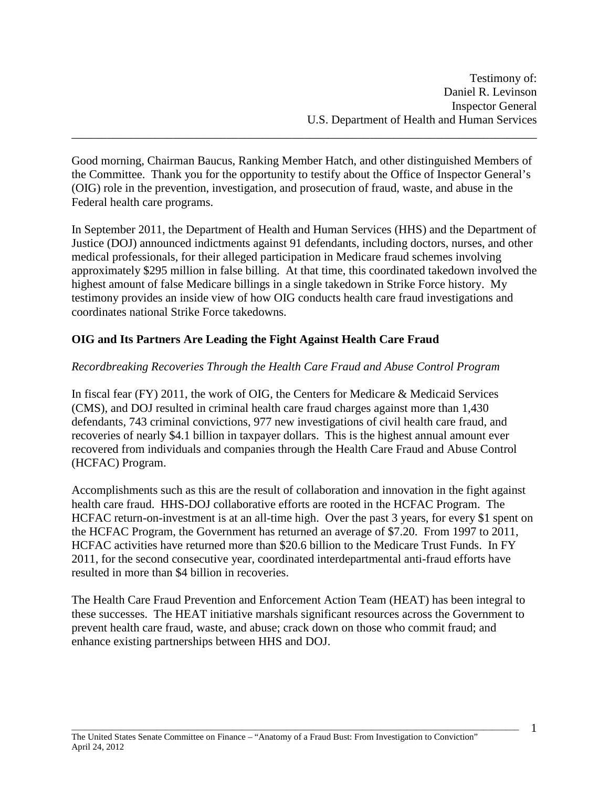Good morning, Chairman Baucus, Ranking Member Hatch, and other distinguished Members of the Committee. Thank you for the opportunity to testify about the Office of Inspector General's (OIG) role in the prevention, investigation, and prosecution of fraud, waste, and abuse in the Federal health care programs.

\_\_\_\_\_\_\_\_\_\_\_\_\_\_\_\_\_\_\_\_\_\_\_\_\_\_\_\_\_\_\_\_\_\_\_\_\_\_\_\_\_\_\_\_\_\_\_\_\_\_\_\_\_\_\_\_\_\_\_\_\_\_\_\_\_\_\_\_\_\_\_\_\_\_\_\_\_\_

In September 2011, the Department of Health and Human Services (HHS) and the Department of Justice (DOJ) announced indictments against 91 defendants, including doctors, nurses, and other medical professionals, for their alleged participation in Medicare fraud schemes involving approximately \$295 million in false billing. At that time, this coordinated takedown involved the highest amount of false Medicare billings in a single takedown in Strike Force history. My testimony provides an inside view of how OIG conducts health care fraud investigations and coordinates national Strike Force takedowns.

## **OIG and Its Partners Are Leading the Fight Against Health Care Fraud**

### *Recordbreaking Recoveries Through the Health Care Fraud and Abuse Control Program*

In fiscal fear (FY) 2011, the work of OIG, the Centers for Medicare & Medicaid Services (CMS), and DOJ resulted in criminal health care fraud charges against more than 1,430 defendants, 743 criminal convictions, 977 new investigations of civil health care fraud, and recoveries of nearly \$4.1 billion in taxpayer dollars. This is the highest annual amount ever recovered from individuals and companies through the Health Care Fraud and Abuse Control (HCFAC) Program.

Accomplishments such as this are the result of collaboration and innovation in the fight against health care fraud. HHS-DOJ collaborative efforts are rooted in the HCFAC Program. The HCFAC return-on-investment is at an all-time high. Over the past 3 years, for every \$1 spent on the HCFAC Program, the Government has returned an average of \$7.20. From 1997 to 2011, HCFAC activities have returned more than \$20.6 billion to the Medicare Trust Funds. In FY 2011, for the second consecutive year, coordinated interdepartmental anti-fraud efforts have resulted in more than \$4 billion in recoveries.

The Health Care Fraud Prevention and Enforcement Action Team (HEAT) has been integral to these successes. The HEAT initiative marshals significant resources across the Government to prevent health care fraud, waste, and abuse; crack down on those who commit fraud; and enhance existing partnerships between HHS and DOJ.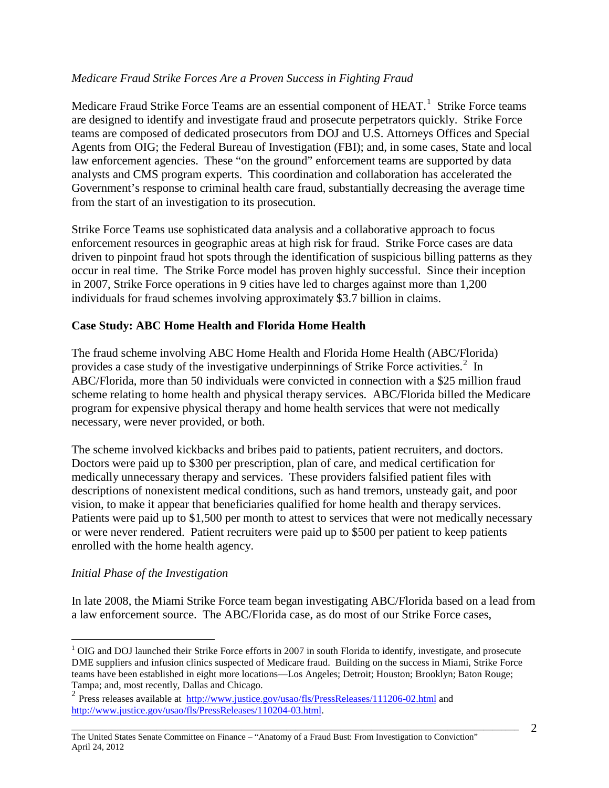## *Medicare Fraud Strike Forces Are a Proven Success in Fighting Fraud*

Medicare Fraud Strike Force Teams are an essential component of  $H EAT$ .<sup>[1](#page-1-0)</sup> Strike Force teams are designed to identify and investigate fraud and prosecute perpetrators quickly. Strike Force teams are composed of dedicated prosecutors from DOJ and U.S. Attorneys Offices and Special Agents from OIG; the Federal Bureau of Investigation (FBI); and, in some cases, State and local law enforcement agencies. These "on the ground" enforcement teams are supported by data analysts and CMS program experts. This coordination and collaboration has accelerated the Government's response to criminal health care fraud, substantially decreasing the average time from the start of an investigation to its prosecution.

Strike Force Teams use sophisticated data analysis and a collaborative approach to focus enforcement resources in geographic areas at high risk for fraud. Strike Force cases are data driven to pinpoint fraud hot spots through the identification of suspicious billing patterns as they occur in real time. The Strike Force model has proven highly successful. Since their inception in 2007, Strike Force operations in 9 cities have led to charges against more than 1,200 individuals for fraud schemes involving approximately \$3.7 billion in claims.

### **Case Study: ABC Home Health and Florida Home Health**

The fraud scheme involving ABC Home Health and Florida Home Health (ABC/Florida) provides a case study of the investigative underpinnings of Strike Force activities. $2$  In ABC/Florida, more than 50 individuals were convicted in connection with a \$25 million fraud scheme relating to home health and physical therapy services. ABC/Florida billed the Medicare program for expensive physical therapy and home health services that were not medically necessary, were never provided, or both.

The scheme involved kickbacks and bribes paid to patients, patient recruiters, and doctors. Doctors were paid up to \$300 per prescription, plan of care, and medical certification for medically unnecessary therapy and services. These providers falsified patient files with descriptions of nonexistent medical conditions, such as hand tremors, unsteady gait, and poor vision, to make it appear that beneficiaries qualified for home health and therapy services. Patients were paid up to \$1,500 per month to attest to services that were not medically necessary or were never rendered. Patient recruiters were paid up to \$500 per patient to keep patients enrolled with the home health agency.

#### *Initial Phase of the Investigation*

In late 2008, the Miami Strike Force team began investigating ABC/Florida based on a lead from a law enforcement source. The ABC/Florida case, as do most of our Strike Force cases,

<span id="page-1-0"></span> $1$  OIG and DOJ launched their Strike Force efforts in 2007 in south Florida to identify, investigate, and prosecute DME suppliers and infusion clinics suspected of Medicare fraud. Building on the success in Miami, Strike Force teams have been established in eight more locations—Los Angeles; Detroit; Houston; Brooklyn; Baton Rouge; Tampa; and, most recently, Dallas and Chicago.

<span id="page-1-1"></span><sup>&</sup>lt;sup>2</sup> Press releases available at <u>http://www.justice.gov/usao/fls/PressReleases/111206-02.html</u> and [http://www.justice.gov/usao/fls/PressReleases/110204-03.html.](http://www.justice.gov/usao/fls/PressReleases/110204-03.html)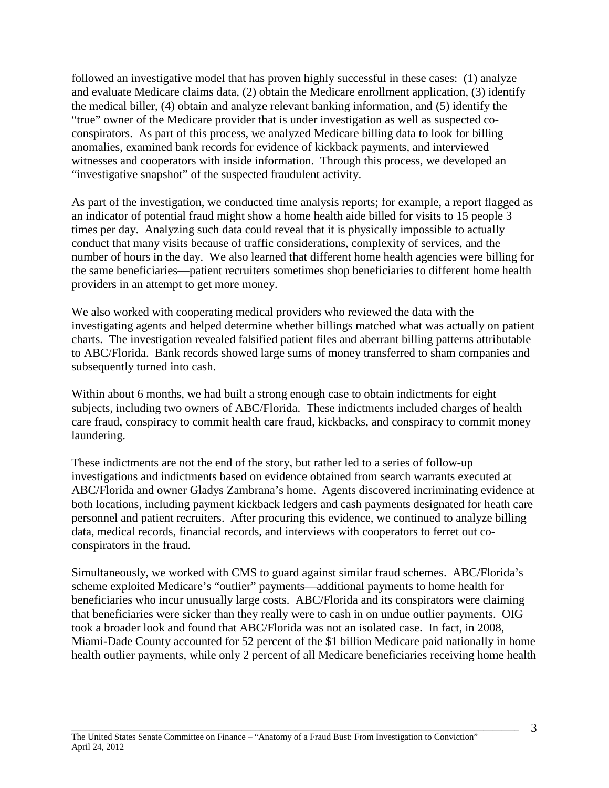followed an investigative model that has proven highly successful in these cases: (1) analyze and evaluate Medicare claims data, (2) obtain the Medicare enrollment application, (3) identify the medical biller, (4) obtain and analyze relevant banking information, and (5) identify the "true" owner of the Medicare provider that is under investigation as well as suspected coconspirators. As part of this process, we analyzed Medicare billing data to look for billing anomalies, examined bank records for evidence of kickback payments, and interviewed witnesses and cooperators with inside information. Through this process, we developed an "investigative snapshot" of the suspected fraudulent activity.

As part of the investigation, we conducted time analysis reports; for example, a report flagged as an indicator of potential fraud might show a home health aide billed for visits to 15 people 3 times per day. Analyzing such data could reveal that it is physically impossible to actually conduct that many visits because of traffic considerations, complexity of services, and the number of hours in the day. We also learned that different home health agencies were billing for the same beneficiaries—patient recruiters sometimes shop beneficiaries to different home health providers in an attempt to get more money.

We also worked with cooperating medical providers who reviewed the data with the investigating agents and helped determine whether billings matched what was actually on patient charts. The investigation revealed falsified patient files and aberrant billing patterns attributable to ABC/Florida. Bank records showed large sums of money transferred to sham companies and subsequently turned into cash.

Within about 6 months, we had built a strong enough case to obtain indictments for eight subjects, including two owners of ABC/Florida. These indictments included charges of health care fraud, conspiracy to commit health care fraud, kickbacks, and conspiracy to commit money laundering.

These indictments are not the end of the story, but rather led to a series of follow-up investigations and indictments based on evidence obtained from search warrants executed at ABC/Florida and owner Gladys Zambrana's home. Agents discovered incriminating evidence at both locations, including payment kickback ledgers and cash payments designated for heath care personnel and patient recruiters. After procuring this evidence, we continued to analyze billing data, medical records, financial records, and interviews with cooperators to ferret out coconspirators in the fraud.

Simultaneously, we worked with CMS to guard against similar fraud schemes. ABC/Florida's scheme exploited Medicare's "outlier" payments—additional payments to home health for beneficiaries who incur unusually large costs. ABC/Florida and its conspirators were claiming that beneficiaries were sicker than they really were to cash in on undue outlier payments. OIG took a broader look and found that ABC/Florida was not an isolated case. In fact, in 2008, Miami-Dade County accounted for 52 percent of the \$1 billion Medicare paid nationally in home health outlier payments, while only 2 percent of all Medicare beneficiaries receiving home health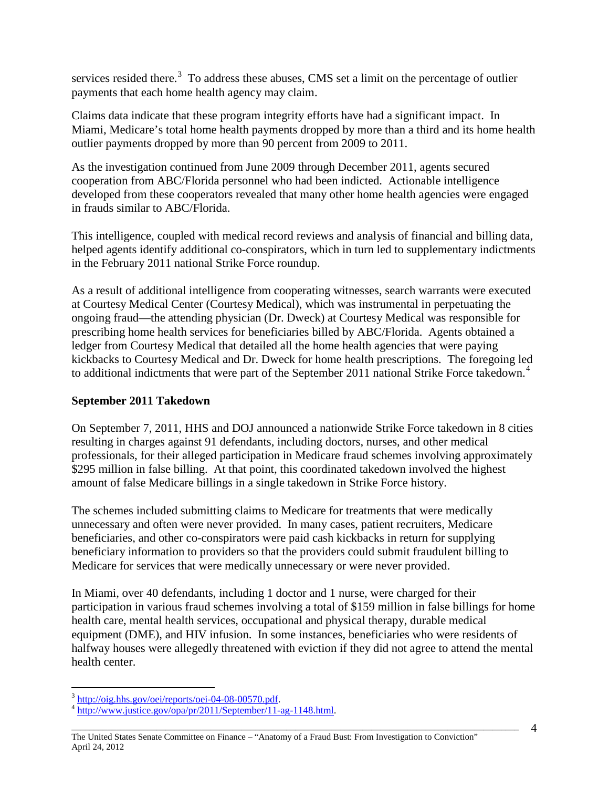services resided there.<sup>[3](#page-3-0)</sup> To address these abuses, CMS set a limit on the percentage of outlier payments that each home health agency may claim.

Claims data indicate that these program integrity efforts have had a significant impact. In Miami, Medicare's total home health payments dropped by more than a third and its home health outlier payments dropped by more than 90 percent from 2009 to 2011.

As the investigation continued from June 2009 through December 2011, agents secured cooperation from ABC/Florida personnel who had been indicted. Actionable intelligence developed from these cooperators revealed that many other home health agencies were engaged in frauds similar to ABC/Florida.

This intelligence, coupled with medical record reviews and analysis of financial and billing data, helped agents identify additional co-conspirators, which in turn led to supplementary indictments in the February 2011 national Strike Force roundup.

As a result of additional intelligence from cooperating witnesses, search warrants were executed at Courtesy Medical Center (Courtesy Medical), which was instrumental in perpetuating the ongoing fraud—the attending physician (Dr. Dweck) at Courtesy Medical was responsible for prescribing home health services for beneficiaries billed by ABC/Florida. Agents obtained a ledger from Courtesy Medical that detailed all the home health agencies that were paying kickbacks to Courtesy Medical and Dr. Dweck for home health prescriptions. The foregoing led to additional indictments that were part of the September 2011 national Strike Force takedown.<sup>[4](#page-3-1)</sup>

## **September 2011 Takedown**

On September 7, 2011, HHS and DOJ announced a nationwide Strike Force takedown in 8 cities resulting in charges against 91 defendants, including doctors, nurses, and other medical professionals, for their alleged participation in Medicare fraud schemes involving approximately \$295 million in false billing. At that point, this coordinated takedown involved the highest amount of false Medicare billings in a single takedown in Strike Force history.

The schemes included submitting claims to Medicare for treatments that were medically unnecessary and often were never provided. In many cases, patient recruiters, Medicare beneficiaries, and other co-conspirators were paid cash kickbacks in return for supplying beneficiary information to providers so that the providers could submit fraudulent billing to Medicare for services that were medically unnecessary or were never provided.

In Miami, over 40 defendants, including 1 doctor and 1 nurse, were charged for their participation in various fraud schemes involving a total of \$159 million in false billings for home health care, mental health services, occupational and physical therapy, durable medical equipment (DME), and HIV infusion. In some instances, beneficiaries who were residents of halfway houses were allegedly threatened with eviction if they did not agree to attend the mental health center.

<span id="page-3-1"></span><span id="page-3-0"></span> $\frac{3 \text{ http://oig.hhs.gov/oei/reports/oei-04-08-00570.pdf}}{\text{http://www.justice.gov/opa/pr/2011/September/11-ag-1148.html}}$ 

\_\_\_\_\_\_\_\_\_\_\_\_\_\_\_\_\_\_\_\_\_\_\_\_\_\_\_\_\_\_\_\_\_\_\_\_\_\_\_\_\_\_\_\_\_\_\_\_\_\_\_\_\_\_\_\_\_\_\_\_\_\_\_\_\_\_\_\_\_\_\_\_\_\_\_\_\_\_\_\_\_\_\_\_\_\_\_\_\_\_\_\_\_\_\_\_\_\_\_\_ The United States Senate Committee on Finance – "Anatomy of a Fraud Bust: From Investigation to Conviction" April 24, 2012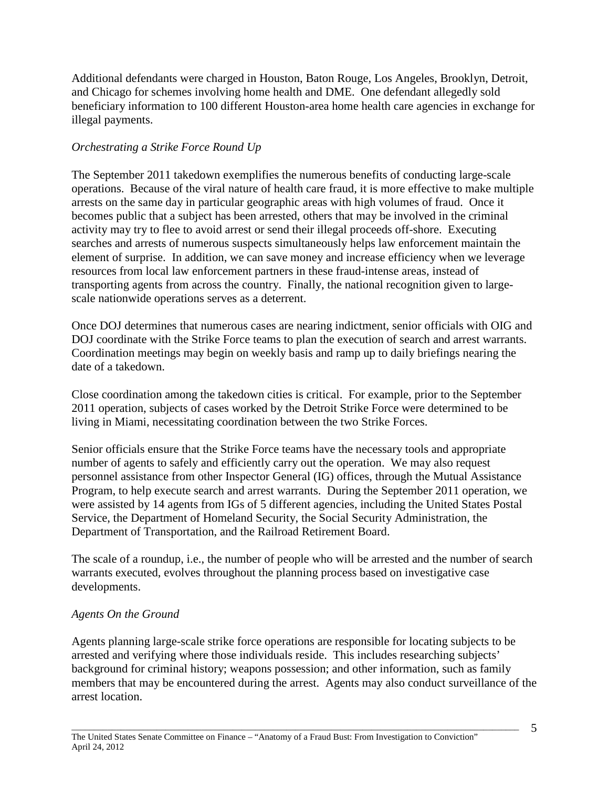Additional defendants were charged in Houston, Baton Rouge, Los Angeles, Brooklyn, Detroit, and Chicago for schemes involving home health and DME. One defendant allegedly sold beneficiary information to 100 different Houston-area home health care agencies in exchange for illegal payments.

## *Orchestrating a Strike Force Round Up*

The September 2011 takedown exemplifies the numerous benefits of conducting large-scale operations. Because of the viral nature of health care fraud, it is more effective to make multiple arrests on the same day in particular geographic areas with high volumes of fraud. Once it becomes public that a subject has been arrested, others that may be involved in the criminal activity may try to flee to avoid arrest or send their illegal proceeds off-shore. Executing searches and arrests of numerous suspects simultaneously helps law enforcement maintain the element of surprise. In addition, we can save money and increase efficiency when we leverage resources from local law enforcement partners in these fraud-intense areas, instead of transporting agents from across the country. Finally, the national recognition given to largescale nationwide operations serves as a deterrent.

Once DOJ determines that numerous cases are nearing indictment, senior officials with OIG and DOJ coordinate with the Strike Force teams to plan the execution of search and arrest warrants. Coordination meetings may begin on weekly basis and ramp up to daily briefings nearing the date of a takedown.

Close coordination among the takedown cities is critical. For example, prior to the September 2011 operation, subjects of cases worked by the Detroit Strike Force were determined to be living in Miami, necessitating coordination between the two Strike Forces.

Senior officials ensure that the Strike Force teams have the necessary tools and appropriate number of agents to safely and efficiently carry out the operation. We may also request personnel assistance from other Inspector General (IG) offices, through the Mutual Assistance Program, to help execute search and arrest warrants. During the September 2011 operation, we were assisted by 14 agents from IGs of 5 different agencies, including the United States Postal Service, the Department of Homeland Security, the Social Security Administration, the Department of Transportation, and the Railroad Retirement Board.

The scale of a roundup, i.e., the number of people who will be arrested and the number of search warrants executed, evolves throughout the planning process based on investigative case developments.

## *Agents On the Ground*

Agents planning large-scale strike force operations are responsible for locating subjects to be arrested and verifying where those individuals reside. This includes researching subjects' background for criminal history; weapons possession; and other information, such as family members that may be encountered during the arrest. Agents may also conduct surveillance of the arrest location.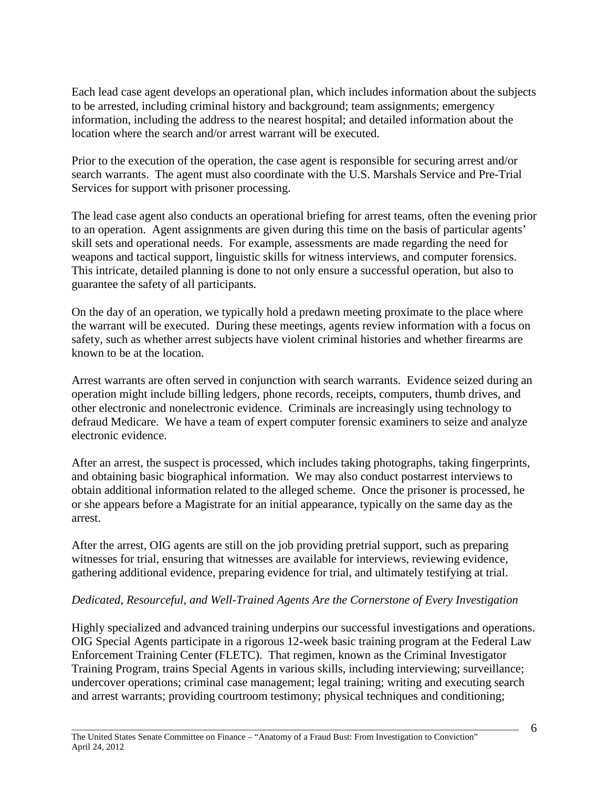Each lead case agent develops an operational plan, which includes information about the subjects to be arrested, including criminal history and background; team assignments; emergency information, including the address to the nearest hospital; and detailed information about the location where the search and/or arrest warrant will be executed.

Prior to the execution of the operation, the case agent is responsible for securing arrest and/or search warrants. The agent must also coordinate with the U.S. Marshals Service and Pre-Trial Services for support with prisoner processing.

The lead case agent also conducts an operational briefing for arrest teams, often the evening prior to an operation. Agent assignments are given during this time on the basis of particular agents' skill sets and operational needs. For example, assessments are made regarding the need for weapons and tactical support, linguistic skills for witness interviews, and computer forensics. This intricate, detailed planning is done to not only ensure a successful operation, but also to guarantee the safety of all participants.

On the day of an operation, we typically hold a predawn meeting proximate to the place where the warrant will be executed. During these meetings, agents review information with a focus on safety, such as whether arrest subjects have violent criminal histories and whether firearms are known to be at the location.

Arrest warrants are often served in conjunction with search warrants. Evidence seized during an operation might include billing ledgers, phone records, receipts, computers, thumb drives, and other electronic and nonelectronic evidence. Criminals are increasingly using technology to defraud Medicare. We have a team of expert computer forensic examiners to seize and analyze electronic evidence.

After an arrest, the suspect is processed, which includes taking photographs, taking fingerprints, and obtaining basic biographical information. We may also conduct postarrest interviews to obtain additional information related to the alleged scheme. Once the prisoner is processed, he or she appears before a Magistrate for an initial appearance, typically on the same day as the arrest.

After the arrest, OIG agents are still on the job providing pretrial support, such as preparing witnesses for trial, ensuring that witnesses are available for interviews, reviewing evidence, gathering additional evidence, preparing evidence for trial, and ultimately testifying at trial.

## *Dedicated, Resourceful, and Well-Trained Agents Are the Cornerstone of Every Investigation*

Highly specialized and advanced training underpins our successful investigations and operations. OIG Special Agents participate in a rigorous 12-week basic training program at the Federal Law Enforcement Training Center (FLETC). That regimen, known as the Criminal Investigator Training Program, trains Special Agents in various skills, including interviewing; surveillance; undercover operations; criminal case management; legal training; writing and executing search and arrest warrants; providing courtroom testimony; physical techniques and conditioning;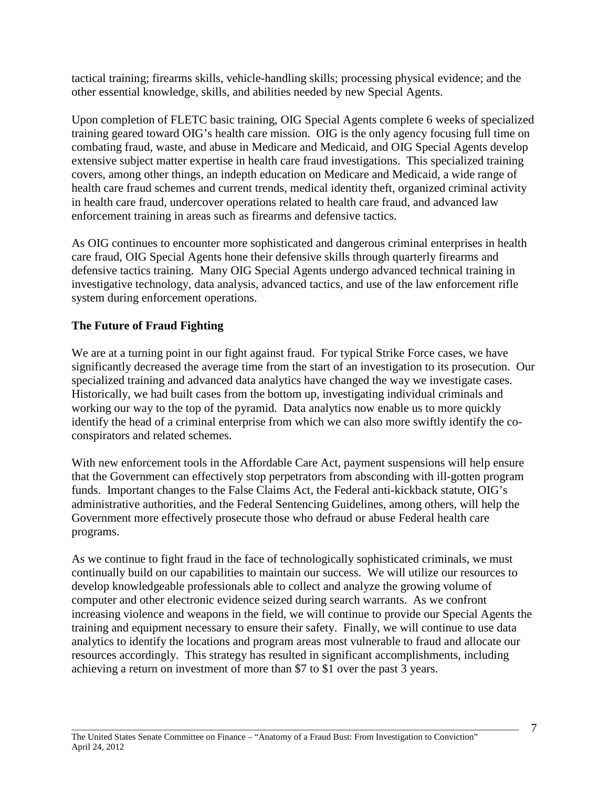tactical training; firearms skills, vehicle-handling skills; processing physical evidence; and the other essential knowledge, skills, and abilities needed by new Special Agents.

Upon completion of FLETC basic training, OIG Special Agents complete 6 weeks of specialized training geared toward OIG's health care mission. OIG is the only agency focusing full time on combating fraud, waste, and abuse in Medicare and Medicaid, and OIG Special Agents develop extensive subject matter expertise in health care fraud investigations. This specialized training covers, among other things, an indepth education on Medicare and Medicaid, a wide range of health care fraud schemes and current trends, medical identity theft, organized criminal activity in health care fraud, undercover operations related to health care fraud, and advanced law enforcement training in areas such as firearms and defensive tactics.

As OIG continues to encounter more sophisticated and dangerous criminal enterprises in health care fraud, OIG Special Agents hone their defensive skills through quarterly firearms and defensive tactics training. Many OIG Special Agents undergo advanced technical training in investigative technology, data analysis, advanced tactics, and use of the law enforcement rifle system during enforcement operations.

# **The Future of Fraud Fighting**

We are at a turning point in our fight against fraud. For typical Strike Force cases, we have significantly decreased the average time from the start of an investigation to its prosecution. Our specialized training and advanced data analytics have changed the way we investigate cases. Historically, we had built cases from the bottom up, investigating individual criminals and working our way to the top of the pyramid. Data analytics now enable us to more quickly identify the head of a criminal enterprise from which we can also more swiftly identify the coconspirators and related schemes.

With new enforcement tools in the Affordable Care Act, payment suspensions will help ensure that the Government can effectively stop perpetrators from absconding with ill-gotten program funds. Important changes to the False Claims Act, the Federal anti-kickback statute, OIG's administrative authorities, and the Federal Sentencing Guidelines, among others, will help the Government more effectively prosecute those who defraud or abuse Federal health care programs.

As we continue to fight fraud in the face of technologically sophisticated criminals, we must continually build on our capabilities to maintain our success. We will utilize our resources to develop knowledgeable professionals able to collect and analyze the growing volume of computer and other electronic evidence seized during search warrants. As we confront increasing violence and weapons in the field, we will continue to provide our Special Agents the training and equipment necessary to ensure their safety. Finally, we will continue to use data analytics to identify the locations and program areas most vulnerable to fraud and allocate our resources accordingly. This strategy has resulted in significant accomplishments, including achieving a return on investment of more than \$7 to \$1 over the past 3 years.